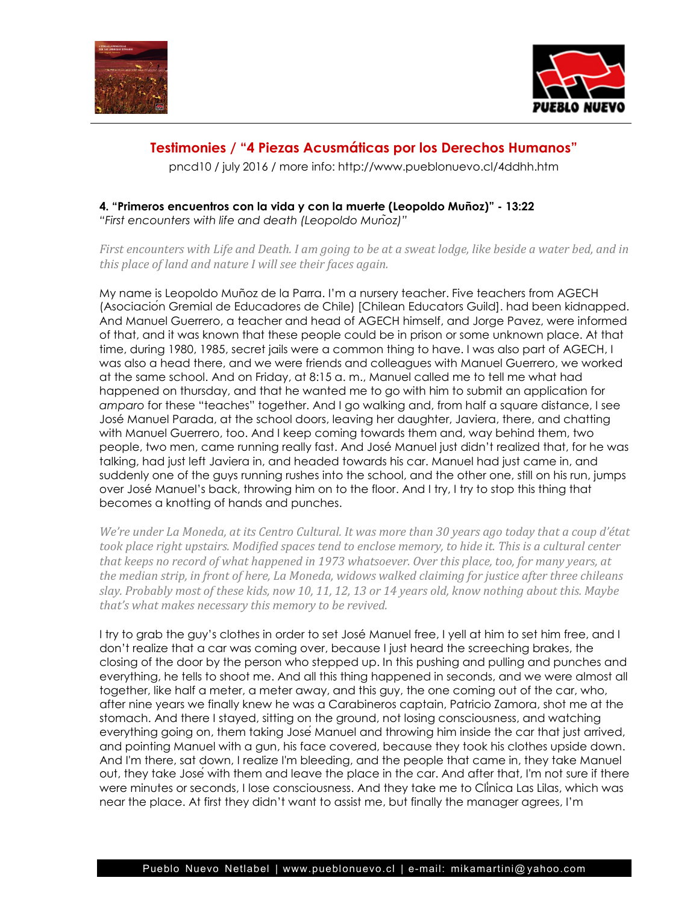



## **Testimonies / "4 Piezas Acusmáticas por los Derechos Humanos"**

pncd10 / july 2016 / more info: http://www.pueblonuevo.cl/4ddhh.htm

## **4. "Primeros encuentros con la vida y con la muerte (Leopoldo Muñoz)" - 13:22**

*"First encounters with life and death (Leopoldo Muñoz)"*

*First encounters with Life and Death. I am going to be at a sweat lodge, like beside a water bed, and in this place of land and nature I will see their faces again.*

My name is Leopoldo Muñoz de la Parra. I'm a nursery teacher. Five teachers from AGECH (Asociación Gremial de Educadores de Chile) [Chilean Educators Guild]. had been kidnapped. And Manuel Guerrero, a teacher and head of AGECH himself, and Jorge Pavez, were informed of that, and it was known that these people could be in prison or some unknown place. At that time, during 1980, 1985, secret jails were a common thing to have. I was also part of AGECH, I was also a head there, and we were friends and colleagues with Manuel Guerrero, we worked at the same school. And on Friday, at 8:15 a. m., Manuel called me to tell me what had happened on thursday, and that he wanted me to go with him to submit an application for *amparo* for these "teaches" together. And I go walking and, from half a square distance, I see José Manuel Parada, at the school doors, leaving her daughter, Javiera, there, and chatting with Manuel Guerrero, too. And I keep coming towards them and, way behind them, two people, two men, came running really fast. And José Manuel just didn't realized that, for he was talking, had just left Javiera in, and headed towards his car. Manuel had just came in, and suddenly one of the guys running rushes into the school, and the other one, still on his run, jumps over José Manuel's back, throwing him on to the floor. And I try, I try to stop this thing that becomes a knotting of hands and punches.

*We're under La Moneda, at its Centro Cultural. It was more than 30 years ago today that a coup d'état took place right upstairs. Modified spaces tend to enclose memory, to hide it. This is a cultural center that keeps no record of what happened in 1973 whatsoever. Over this place, too, for many years, at the median strip, in front of here, La Moneda, widows walked claiming for justice after three chileans slay. Probably most of these kids, now 10, 11, 12, 13 or 14 years old, know nothing about this. Maybe that's what makes necessary this memory to be revived.*

I try to grab the guy's clothes in order to set José Manuel free, I yell at him to set him free, and I don't realize that a car was coming over, because I just heard the screeching brakes, the closing of the door by the person who stepped up. In this pushing and pulling and punches and everything, he tells to shoot me. And all this thing happened in seconds, and we were almost all together, like half a meter, a meter away, and this guy, the one coming out of the car, who, after nine years we finally knew he was a Carabineros captain, Patricio Zamora, shot me at the stomach. And there I stayed, sitting on the ground, not losing consciousness, and watching everything going on, them taking JoséManuel and throwing him inside the car that just arrived, and pointing Manuel with a gun, his face covered, because they took his clothes upside down. And I'm there, sat down, I realize I'm bleeding, and the people that came in, they take Manuel out, they take Joséwith them and leave the place in the car. And after that, I'm not sure if there were minutes or seconds, I lose consciousness. And they take me to Clínica Las Lilas, which was near the place. At first they didn't want to assist me, but finally the manager agrees, I'm